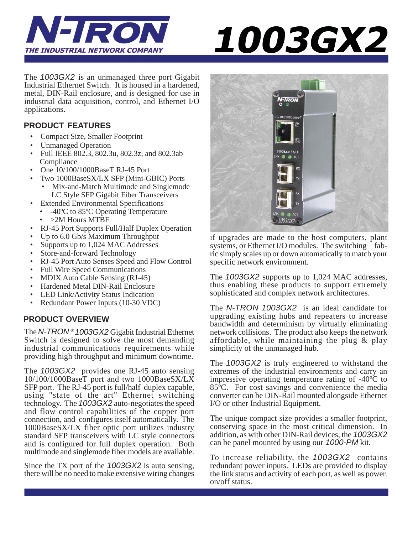

# *1003GX2*

The *1003GX2* is an unmanaged three port Gigabit Industrial Ethernet Switch. It is housed in a hardened, metal, DIN-Rail enclosure, and is designed for use in industrial data acquisition, control, and Ethernet I/O applications.

### **PRODUCT FEATURES**

- Compact Size, Smaller Footprint
- Unmanaged Operation
- Full IEEE 802.3, 802.3u, 802.3z, and 802.3ab Compliance
- One  $10/100/1000$ BaseT RJ-45 Port
- Two 1000BaseSX/LX SFP (Mini-GBIC) Ports • Mix-and-Match Multimode and Singlemode
- LC Style SFP Gigabit Fiber Transceivers • Extended Environmental Specifications
- -40ºC to 85ºC Operating Temperature
	- >2M Hours MTBF
- RJ-45 Port Supports Full/Half Duplex Operation
- Up to 6.0 Gb/s Maximum Throughput
- Supports up to 1,024 MAC Addresses
- Store-and-forward Technology
- RJ-45 Port Auto Senses Speed and Flow Control
- Full Wire Speed Communications
- MDIX Auto Cable Sensing (RJ-45)
- Hardened Metal DIN-Rail Enclosure
- LED Link/Activity Status Indication
- Redundant Power Inputs (10-30 VDC)

### **PRODUCT OVERVIEW**

The *N-TRON* ® *1003GX2* Gigabit Industrial Ethernet Switch is designed to solve the most demanding industrial communications requirements while providing high throughput and minimum downtime.

The *1003GX2* provides one RJ-45 auto sensing 10/100/1000BaseT port and two 1000BaseSX/LX SFP port. The RJ-45 port is full/half duplex capable, using "state of the art" Ethernet switching technology. The *1003GX2* auto-negotiates the speed and flow control capabilities of the copper port connection, and configures itself automatically. The 1000BaseSX/LX fiber optic port utilizes industry standard SFP transceivers with LC style connectors and is configured for full duplex operation. Both multimode and singlemode fiber models are available.

Since the TX port of the *1003GX2* is auto sensing, there will be no need to make extensive wiring changes



if upgrades are made to the host computers, plant systems, or Ethernet I/O modules. The switching fabric simply scales up or down automatically to match your specific network environment.

The *1003GX2* supports up to 1,024 MAC addresses, thus enabling these products to support extremely sophisticated and complex network architectures.

The *N-TRON 1003GX2* is an ideal candidate for upgrading existing hubs and repeaters to increase bandwidth and determinism by virtually eliminating network collisions. The product also keeps the network affordable, while maintaining the plug & play simplicity of the unmanaged hub.

The *1003GX2* is truly engineered to withstand the extremes of the industrial environments and carry an impressive operating temperature rating of -40ºC to 85ºC. For cost savings and convenience the media converter can be DIN-Rail mounted alongside Ethernet I/O or other Industrial Equipment.

The unique compact size provides a smaller footprint, conserving space in the most critical dimension. In addition, as with other DIN-Rail devices, the *1003GX2* can be panel mounted by using our *1000-PM* kit.

To increase reliability, the *1003GX2* contains redundant power inputs. LEDs are provided to display the link status and activity of each port, as well as power. on/off status.